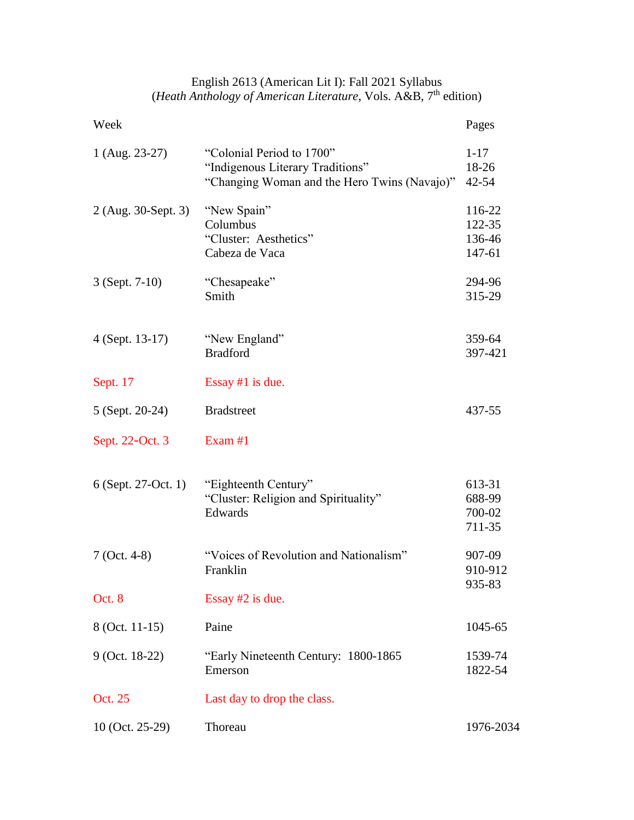| English 2613 (American Lit I): Fall 2021 Syllabus                            |  |  |  |
|------------------------------------------------------------------------------|--|--|--|
| (Heath Anthology of American Literature, Vols. A&B, 7 <sup>th</sup> edition) |  |  |  |

| Week                |                                                                                                               | Pages                                |
|---------------------|---------------------------------------------------------------------------------------------------------------|--------------------------------------|
| 1 (Aug. 23-27)      | "Colonial Period to 1700"<br>"Indigenous Literary Traditions"<br>"Changing Woman and the Hero Twins (Navajo)" | $1 - 17$<br>18-26<br>42-54           |
| 2 (Aug. 30-Sept. 3) | "New Spain"<br>Columbus<br>"Cluster: Aesthetics"<br>Cabeza de Vaca                                            | 116-22<br>122-35<br>136-46<br>147-61 |
| $3$ (Sept. 7-10)    | "Chesapeake"<br>Smith                                                                                         | 294-96<br>315-29                     |
| $4$ (Sept. 13-17)   | "New England"<br><b>Bradford</b>                                                                              | 359-64<br>397-421                    |
| Sept. 17            | Essay $#1$ is due.                                                                                            |                                      |
| 5 (Sept. 20-24)     | <b>Bradstreet</b>                                                                                             | 437-55                               |
| Sept. 22-Oct. 3     | Exam $#1$                                                                                                     |                                      |
| 6 (Sept. 27-Oct. 1) | "Eighteenth Century"<br>"Cluster: Religion and Spirituality"<br>Edwards                                       | 613-31<br>688-99<br>700-02<br>711-35 |
| $7$ (Oct. 4-8)      | "Voices of Revolution and Nationalism"<br>Franklin                                                            | 907-09<br>910-912                    |
| Oct. 8              | Essay $#2$ is due.                                                                                            | 935-83                               |
| 8 (Oct. 11-15)      | Paine                                                                                                         | 1045-65                              |
| 9 (Oct. 18-22)      | "Early Nineteenth Century: 1800-1865<br>Emerson                                                               | 1539-74<br>1822-54                   |
| Oct. 25             | Last day to drop the class.                                                                                   |                                      |
| 10 (Oct. 25-29)     | Thoreau                                                                                                       | 1976-2034                            |